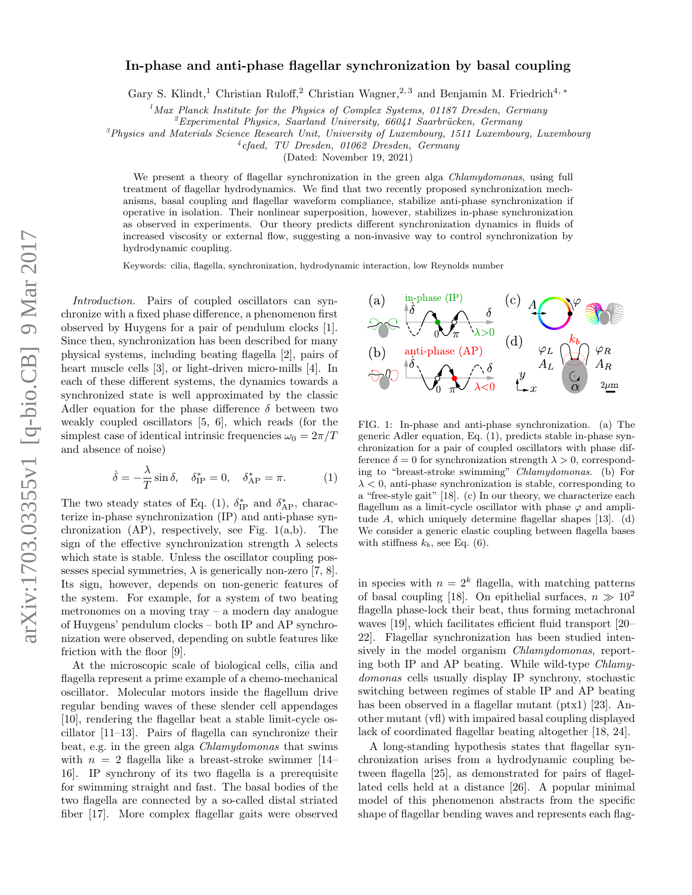## In-phase and anti-phase flagellar synchronization by basal coupling

Gary S. Klindt,<sup>1</sup> Christian Ruloff,<sup>2</sup> Christian Wagner,<sup>2, 3</sup> and Benjamin M. Friedrich<sup>4, \*</sup>

<sup>1</sup> Max Planck Institute for the Physics of Complex Systems, 01187 Dresden, Germany

 $\ell^2$ Experimental Physics, Saarland University, 66041 Saarbrücken, Germany

 $3$ Physics and Materials Science Research Unit, University of Luxembourg, 1511 Luxembourg, Luxembourg

4 cfaed, TU Dresden, 01062 Dresden, Germany

(Dated: November 19, 2021)

We present a theory of flagellar synchronization in the green alga *Chlamydomonas*, using full treatment of flagellar hydrodynamics. We find that two recently proposed synchronization mechanisms, basal coupling and flagellar waveform compliance, stabilize anti-phase synchronization if operative in isolation. Their nonlinear superposition, however, stabilizes in-phase synchronization as observed in experiments. Our theory predicts different synchronization dynamics in fluids of increased viscosity or external flow, suggesting a non-invasive way to control synchronization by hydrodynamic coupling.

Keywords: cilia, flagella, synchronization, hydrodynamic interaction, low Reynolds number

Introduction. Pairs of coupled oscillators can synchronize with a fixed phase difference, a phenomenon first observed by Huygens for a pair of pendulum clocks [1]. Since then, synchronization has been described for many physical systems, including beating flagella [2], pairs of heart muscle cells [3], or light-driven micro-mills [4]. In each of these different systems, the dynamics towards a synchronized state is well approximated by the classic Adler equation for the phase difference  $\delta$  between two weakly coupled oscillators [5, 6], which reads (for the simplest case of identical intrinsic frequencies  $\omega_0 = 2\pi/T$ and absence of noise)

$$
\dot{\delta} = -\frac{\lambda}{T} \sin \delta, \quad \delta_{\text{IP}}^* = 0, \quad \delta_{\text{AP}}^* = \pi. \tag{1}
$$

The two steady states of Eq. (1),  $\delta_{\text{IP}}^{*}$  and  $\delta_{\text{AP}}^{*}$ , characterize in-phase synchronization (IP) and anti-phase synchronization  $AP$ ), respectively, see Fig.  $1(a,b)$ . The sign of the effective synchronization strength  $\lambda$  selects which state is stable. Unless the oscillator coupling possesses special symmetries,  $\lambda$  is generically non-zero [7, 8]. Its sign, however, depends on non-generic features of the system. For example, for a system of two beating metronomes on a moving tray – a modern day analogue of Huygens' pendulum clocks – both IP and AP synchronization were observed, depending on subtle features like friction with the floor [9].

At the microscopic scale of biological cells, cilia and flagella represent a prime example of a chemo-mechanical oscillator. Molecular motors inside the flagellum drive regular bending waves of these slender cell appendages [10], rendering the flagellar beat a stable limit-cycle oscillator [11–13]. Pairs of flagella can synchronize their beat, e.g. in the green alga Chlamydomonas that swims with  $n = 2$  flagella like a breast-stroke swimmer [14– 16]. IP synchrony of its two flagella is a prerequisite for swimming straight and fast. The basal bodies of the two flagella are connected by a so-called distal striated fiber [17]. More complex flagellar gaits were observed



FIG. 1: In-phase and anti-phase synchronization. (a) The generic Adler equation, Eq. (1), predicts stable in-phase synchronization for a pair of coupled oscillators with phase difference  $\delta = 0$  for synchronization strength  $\lambda > 0$ , corresponding to "breast-stroke swimming" Chlamydomonas. (b) For  $\lambda < 0$ , anti-phase synchronization is stable, corresponding to a "free-style gait" [18]. (c) In our theory, we characterize each flagellum as a limit-cycle oscillator with phase  $\varphi$  and amplitude A, which uniquely determine flagellar shapes [13]. (d) We consider a generic elastic coupling between flagella bases with stiffness  $k_b$ , see Eq. (6).

in species with  $n = 2<sup>k</sup>$  flagella, with matching patterns of basal coupling [18]. On epithelial surfaces,  $n \gg 10^2$ flagella phase-lock their beat, thus forming metachronal waves [19], which facilitates efficient fluid transport [20– 22]. Flagellar synchronization has been studied intensively in the model organism *Chlamydomonas*, reporting both IP and AP beating. While wild-type Chlamydomonas cells usually display IP synchrony, stochastic switching between regimes of stable IP and AP beating has been observed in a flagellar mutant (ptx1) [23]. Another mutant (vfl) with impaired basal coupling displayed lack of coordinated flagellar beating altogether [18, 24].

A long-standing hypothesis states that flagellar synchronization arises from a hydrodynamic coupling between flagella [25], as demonstrated for pairs of flagellated cells held at a distance [26]. A popular minimal model of this phenomenon abstracts from the specific shape of flagellar bending waves and represents each flag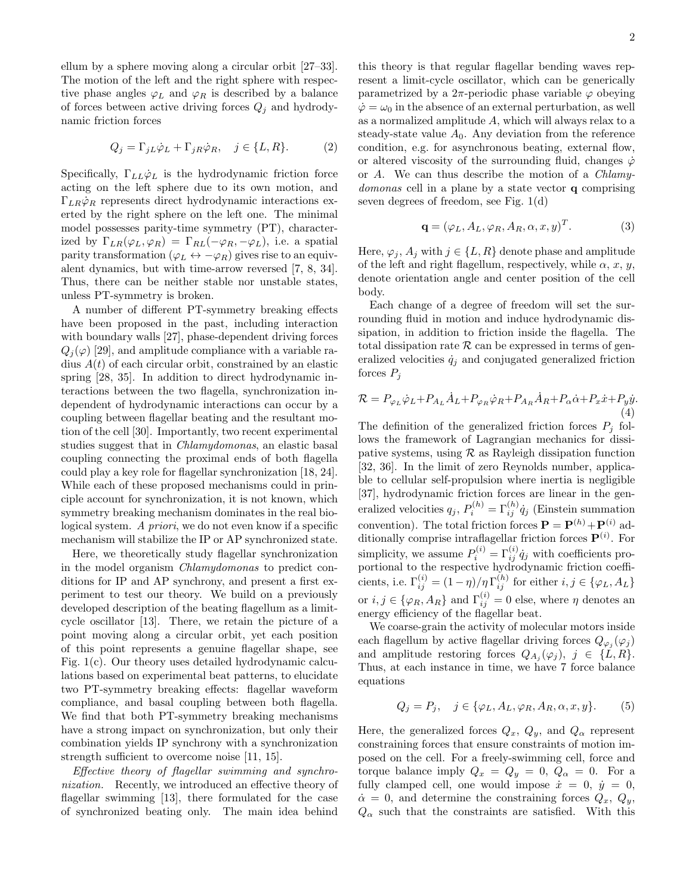ellum by a sphere moving along a circular orbit [27–33]. The motion of the left and the right sphere with respective phase angles  $\varphi_L$  and  $\varphi_R$  is described by a balance of forces between active driving forces  $Q_j$  and hydrodynamic friction forces

$$
Q_j = \Gamma_{jL}\dot{\varphi}_L + \Gamma_{jR}\dot{\varphi}_R, \quad j \in \{L, R\}.
$$
 (2)

Specifically,  $\Gamma_{LL}\dot{\varphi}_L$  is the hydrodynamic friction force acting on the left sphere due to its own motion, and  $\Gamma_{LR}\dot{\varphi}_R$  represents direct hydrodynamic interactions exerted by the right sphere on the left one. The minimal model possesses parity-time symmetry (PT), characterized by  $\Gamma_{LR}(\varphi_L, \varphi_R) = \Gamma_{RL}(-\varphi_R, -\varphi_L)$ , i.e. a spatial parity transformation ( $\varphi_L \leftrightarrow -\varphi_R$ ) gives rise to an equivalent dynamics, but with time-arrow reversed [7, 8, 34]. Thus, there can be neither stable nor unstable states, unless PT-symmetry is broken.

A number of different PT-symmetry breaking effects have been proposed in the past, including interaction with boundary walls [27], phase-dependent driving forces  $Q_i(\varphi)$  [29], and amplitude compliance with a variable radius  $A(t)$  of each circular orbit, constrained by an elastic spring [28, 35]. In addition to direct hydrodynamic interactions between the two flagella, synchronization independent of hydrodynamic interactions can occur by a coupling between flagellar beating and the resultant motion of the cell [30]. Importantly, two recent experimental studies suggest that in Chlamydomonas, an elastic basal coupling connecting the proximal ends of both flagella could play a key role for flagellar synchronization [18, 24]. While each of these proposed mechanisms could in principle account for synchronization, it is not known, which symmetry breaking mechanism dominates in the real biological system. A priori, we do not even know if a specific mechanism will stabilize the IP or AP synchronized state.

Here, we theoretically study flagellar synchronization in the model organism Chlamydomonas to predict conditions for IP and AP synchrony, and present a first experiment to test our theory. We build on a previously developed description of the beating flagellum as a limitcycle oscillator [13]. There, we retain the picture of a point moving along a circular orbit, yet each position of this point represents a genuine flagellar shape, see Fig. 1(c). Our theory uses detailed hydrodynamic calculations based on experimental beat patterns, to elucidate two PT-symmetry breaking effects: flagellar waveform compliance, and basal coupling between both flagella. We find that both PT-symmetry breaking mechanisms have a strong impact on synchronization, but only their combination yields IP synchrony with a synchronization strength sufficient to overcome noise [11, 15].

Effective theory of flagellar swimming and synchronization. Recently, we introduced an effective theory of flagellar swimming [13], there formulated for the case of synchronized beating only. The main idea behind this theory is that regular flagellar bending waves represent a limit-cycle oscillator, which can be generically parametrized by a  $2\pi$ -periodic phase variable  $\varphi$  obeying  $\dot{\varphi} = \omega_0$  in the absence of an external perturbation, as well as a normalized amplitude A, which will always relax to a steady-state value  $A_0$ . Any deviation from the reference condition, e.g. for asynchronous beating, external flow, or altered viscosity of the surrounding fluid, changes  $\dot{\varphi}$ or A. We can thus describe the motion of a Chlamydomonas cell in a plane by a state vector q comprising seven degrees of freedom, see Fig. 1(d)

$$
\mathbf{q} = (\varphi_L, A_L, \varphi_R, A_R, \alpha, x, y)^T. \tag{3}
$$

Here,  $\varphi_i$ ,  $A_i$  with  $j \in \{L, R\}$  denote phase and amplitude of the left and right flagellum, respectively, while  $\alpha$ , x, y, denote orientation angle and center position of the cell body.

Each change of a degree of freedom will set the surrounding fluid in motion and induce hydrodynamic dissipation, in addition to friction inside the flagella. The total dissipation rate  $R$  can be expressed in terms of generalized velocities  $\dot{q}_j$  and conjugated generalized friction forces  $P_i$ 

$$
\mathcal{R} = P_{\varphi_L} \dot{\varphi}_L + P_{A_L} \dot{A}_L + P_{\varphi_R} \dot{\varphi}_R + P_{A_R} \dot{A}_R + P_{\alpha} \dot{\alpha} + P_x \dot{x} + P_y \dot{y}.
$$
\n(4)

The definition of the generalized friction forces  $P_j$  follows the framework of Lagrangian mechanics for dissipative systems, using  $R$  as Rayleigh dissipation function [32, 36]. In the limit of zero Reynolds number, applicable to cellular self-propulsion where inertia is negligible [37], hydrodynamic friction forces are linear in the generalized velocities  $q_j$ ,  $P_i^{(h)} = \Gamma_{ij}^{(h)} \dot{q}_j$  (Einstein summation convention). The total friction forces  $\mathbf{P} = \mathbf{P}^{(h)} + \mathbf{P}^{(i)}$  additionally comprise intraflagellar friction forces  $\mathbf{P}^{(i)}$ . For simplicity, we assume  $P_i^{(i)} = \Gamma_{ij}^{(i)} \dot{q}_j$  with coefficients proportional to the respective hydrodynamic friction coefficients, i.e.  $\Gamma_{ij}^{(i)} = (1 - \eta)/\eta \Gamma_{ij}^{(h)}$  for either  $i, j \in {\varphi_L, A_L}$ or  $i, j \in {\varphi_R, A_R}$  and  $\Gamma_{ij}^{(i)} = 0$  else, where  $\eta$  denotes an energy efficiency of the flagellar beat.

We coarse-grain the activity of molecular motors inside each flagellum by active flagellar driving forces  $Q_{\varphi_j}(\varphi_j)$ and amplitude restoring forces  $Q_{A_j}(\varphi_j)$ ,  $j \in \{L, R\}.$ Thus, at each instance in time, we have 7 force balance equations

$$
Q_j = P_j, \quad j \in \{ \varphi_L, A_L, \varphi_R, A_R, \alpha, x, y \}.
$$
 (5)

Here, the generalized forces  $Q_x$ ,  $Q_y$ , and  $Q_\alpha$  represent constraining forces that ensure constraints of motion imposed on the cell. For a freely-swimming cell, force and torque balance imply  $Q_x = Q_y = 0$ ,  $Q_\alpha = 0$ . For a fully clamped cell, one would impose  $\dot{x} = 0$ ,  $\dot{y} = 0$ ,  $\dot{\alpha} = 0$ , and determine the constraining forces  $Q_x, Q_y,$  $Q_{\alpha}$  such that the constraints are satisfied. With this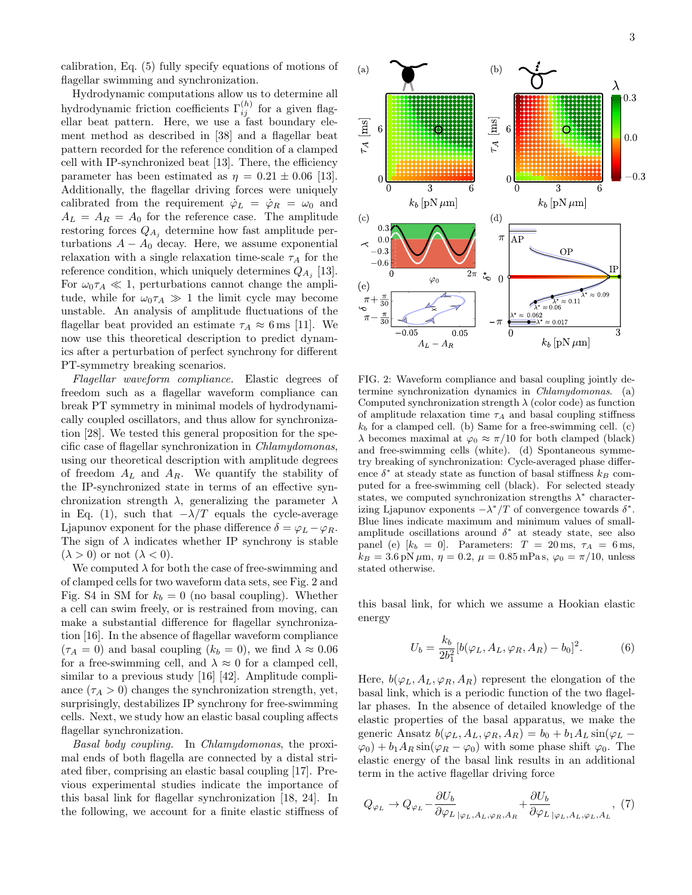calibration, Eq. (5) fully specify equations of motions of flagellar swimming and synchronization.

Hydrodynamic computations allow us to determine all hydrodynamic friction coefficients  $\Gamma_{ij}^{(h)}$  for a given flagellar beat pattern. Here, we use a fast boundary element method as described in [38] and a flagellar beat pattern recorded for the reference condition of a clamped cell with IP-synchronized beat [13]. There, the efficiency parameter has been estimated as  $\eta = 0.21 \pm 0.06$  [13]. Additionally, the flagellar driving forces were uniquely calibrated from the requirement  $\dot{\varphi}_L = \dot{\varphi}_R = \omega_0$  and  $A_L = A_R = A_0$  for the reference case. The amplitude restoring forces  $Q_{A_i}$  determine how fast amplitude perturbations  $A - A_0$  decay. Here, we assume exponential relaxation with a single relaxation time-scale  $\tau_A$  for the reference condition, which uniquely determines  $Q_{A_j}$  [13]. For  $\omega_0 \tau_A \ll 1$ , perturbations cannot change the amplitude, while for  $\omega_0 \tau_A \gg 1$  the limit cycle may become unstable. An analysis of amplitude fluctuations of the flagellar beat provided an estimate  $\tau_A \approx 6 \,\text{ms}$  [11]. We now use this theoretical description to predict dynamics after a perturbation of perfect synchrony for different PT-symmetry breaking scenarios.

Flagellar waveform compliance. Elastic degrees of freedom such as a flagellar waveform compliance can break PT symmetry in minimal models of hydrodynamically coupled oscillators, and thus allow for synchronization [28]. We tested this general proposition for the specific case of flagellar synchronization in Chlamydomonas, using our theoretical description with amplitude degrees of freedom  $A_L$  and  $A_R$ . We quantify the stability of the IP-synchronized state in terms of an effective synchronization strength  $\lambda$ , generalizing the parameter  $\lambda$ in Eq. (1), such that  $-\lambda/T$  equals the cycle-average Ljapunov exponent for the phase difference  $\delta = \varphi_L - \varphi_R$ . The sign of  $\lambda$  indicates whether IP synchrony is stable  $(\lambda > 0)$  or not  $(\lambda < 0)$ .

We computed  $\lambda$  for both the case of free-swimming and of clamped cells for two waveform data sets, see Fig. 2 and Fig. S4 in SM for  $k_b = 0$  (no basal coupling). Whether a cell can swim freely, or is restrained from moving, can make a substantial difference for flagellar synchronization [16]. In the absence of flagellar waveform compliance  $(\tau_A = 0)$  and basal coupling  $(k_b = 0)$ , we find  $\lambda \approx 0.06$ for a free-swimming cell, and  $\lambda \approx 0$  for a clamped cell, similar to a previous study [16] [42]. Amplitude compliance  $(\tau_A > 0)$  changes the synchronization strength, yet, surprisingly, destabilizes IP synchrony for free-swimming cells. Next, we study how an elastic basal coupling affects flagellar synchronization.

Basal body coupling. In Chlamydomonas, the proximal ends of both flagella are connected by a distal striated fiber, comprising an elastic basal coupling [17]. Previous experimental studies indicate the importance of this basal link for flagellar synchronization [18, 24]. In the following, we account for a finite elastic stiffness of



FIG. 2: Waveform compliance and basal coupling jointly determine synchronization dynamics in Chlamydomonas. (a) Computed synchronization strength  $\lambda$  (color code) as function of amplitude relaxation time  $\tau_A$  and basal coupling stiffness  $k_b$  for a clamped cell. (b) Same for a free-swimming cell. (c)  $\lambda$  becomes maximal at  $\varphi_0 \approx \pi/10$  for both clamped (black) and free-swimming cells (white). (d) Spontaneous symmetry breaking of synchronization: Cycle-averaged phase difference  $\delta^*$  at steady state as function of basal stiffness  $k_B$  computed for a free-swimming cell (black). For selected steady states, we computed synchronization strengths  $\lambda^*$  characterizing Ljapunov exponents  $-\lambda^*/T$  of convergence towards  $\delta^*$ . Blue lines indicate maximum and minimum values of smallamplitude oscillations around  $\delta^*$  at steady state, see also panel (e)  $[k_b = 0]$ . Parameters:  $T = 20$  ms,  $\tau_A = 6$  ms,  $k_B = 3.6 \text{ pN } \mu \text{m}, \eta = 0.2, \mu = 0.85 \text{ mPa s}, \varphi_0 = \pi/10, \text{ unless}$ stated otherwise.

this basal link, for which we assume a Hookian elastic energy

$$
U_b = \frac{k_b}{2b_1^2} [b(\varphi_L, A_L, \varphi_R, A_R) - b_0]^2.
$$
 (6)

Here,  $b(\varphi_L, A_L, \varphi_R, A_R)$  represent the elongation of the basal link, which is a periodic function of the two flagellar phases. In the absence of detailed knowledge of the elastic properties of the basal apparatus, we make the generic Ansatz  $b(\varphi_L, A_L, \varphi_R, A_R) = b_0 + b_1 A_L \sin(\varphi_L \varphi_0$  +  $b_1 A_R \sin(\varphi_R - \varphi_0)$  with some phase shift  $\varphi_0$ . The elastic energy of the basal link results in an additional term in the active flagellar driving force

$$
Q_{\varphi_L} \to Q_{\varphi_L} - \frac{\partial U_b}{\partial \varphi_L}_{|\varphi_L, A_L, \varphi_R, A_R} + \frac{\partial U_b}{\partial \varphi_L}_{|\varphi_L, A_L, \varphi_L, A_L} , (7)
$$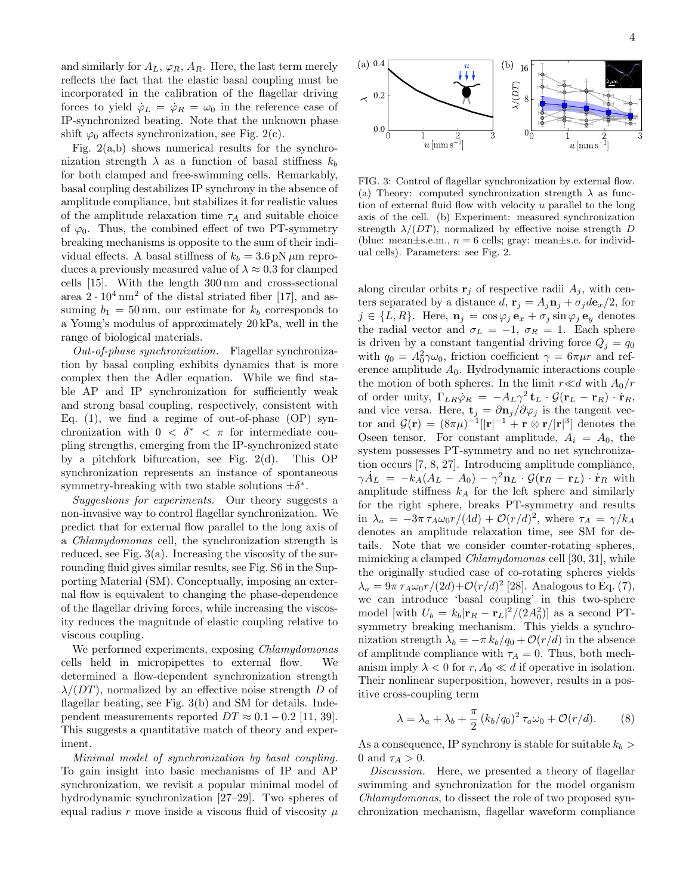and similarly for  $A_L$ ,  $\varphi_R$ ,  $A_R$ . Here, the last term merely reflects the fact that the elastic basal coupling must be incorporated in the calibration of the flagellar driving forces to yield  $\dot{\varphi}_L = \dot{\varphi}_R = \omega_0$  in the reference case of IP-synchronized beating. Note that the unknown phase

shift  $\varphi_0$  affects synchronization, see Fig. 2(c). Fig.  $2(a,b)$  shows numerical results for the synchronization strength  $\lambda$  as a function of basal stiffness  $k_b$ for both clamped and free-swimming cells. Remarkably, basal coupling destabilizes IP synchrony in the absence of amplitude compliance, but stabilizes it for realistic values of the amplitude relaxation time  $\tau_A$  and suitable choice of  $\varphi_0$ . Thus, the combined effect of two PT-symmetry breaking mechanisms is opposite to the sum of their individual effects. A basal stiffness of  $k_b = 3.6$  pN  $\mu$ m reproduces a previously measured value of  $\lambda \approx 0.3$  for clamped cells [15]. With the length 300 nm and cross-sectional area  $2 \cdot 10^4$  nm<sup>2</sup> of the distal striated fiber [17], and assuming  $b_1 = 50 \text{ nm}$ , our estimate for  $k_b$  corresponds to a Young's modulus of approximately 20 kPa, well in the range of biological materials.

Out-of-phase synchronization. Flagellar synchronization by basal coupling exhibits dynamics that is more complex then the Adler equation. While we find stable AP and IP synchronization for sufficiently weak and strong basal coupling, respectively, consistent with Eq.  $(1)$ , we find a regime of out-of-phase  $(OP)$  synchronization with  $0 < \delta^* < \pi$  for intermediate coupling strengths, emerging from the IP-synchronized state by a pitchfork bifurcation, see Fig. 2(d). This OP synchronization represents an instance of spontaneous symmetry-breaking with two stable solutions  $\pm \delta^*$ .

Suggestions for experiments. Our theory suggests a non-invasive way to control flagellar synchronization. We predict that for external flow parallel to the long axis of a Chlamydomonas cell, the synchronization strength is reduced, see Fig. 3(a). Increasing the viscosity of the surrounding fluid gives similar results, see Fig. S6 in the Supporting Material (SM). Conceptually, imposing an external flow is equivalent to changing the phase-dependence of the flagellar driving forces, while increasing the viscosity reduces the magnitude of elastic coupling relative to viscous coupling.

We performed experiments, exposing *Chlamydomonas* cells held in micropipettes to external flow. We determined a flow-dependent synchronization strength  $\lambda/(DT)$ , normalized by an effective noise strength D of flagellar beating, see Fig. 3(b) and SM for details. Independent measurements reported  $DT \approx 0.1 - 0.2$  [11, 39]. This suggests a quantitative match of theory and experiment.

Minimal model of synchronization by basal coupling. To gain insight into basic mechanisms of IP and AP synchronization, we revisit a popular minimal model of hydrodynamic synchronization [27–29]. Two spheres of equal radius r move inside a viscous fluid of viscosity  $\mu$ 

FIG. 3: Control of flagellar synchronization by external flow. (a) Theory: computed synchronization strength  $\lambda$  as function of external fluid flow with velocity  $u$  parallel to the long axis of the cell. (b) Experiment: measured synchronization strength  $\lambda/(DT)$ , normalized by effective noise strength D (blue: mean $\pm$ s.e.m.,  $n = 6$  cells; gray: mean $\pm$ s.e. for individual cells). Parameters: see Fig. 2.

along circular orbits  $\mathbf{r}_j$  of respective radii  $A_j$ , with centers separated by a distance  $d$ ,  $\mathbf{r}_j = A_j \mathbf{n}_j + \sigma_j d\mathbf{e}_x/2$ , for  $j \in \{L, R\}$ . Here,  $\mathbf{n}_j = \cos \varphi_j \, \mathbf{e}_x + \sigma_j \sin \varphi_j \, \mathbf{e}_y$  denotes the radial vector and  $\sigma_L = -1$ ,  $\sigma_R = 1$ . Each sphere is driven by a constant tangential driving force  $Q_j = q_0$ with  $q_0 = A_0^2 \gamma \omega_0$ , friction coefficient  $\gamma = 6\pi \mu r$  and reference amplitude  $A_0$ . Hydrodynamic interactions couple the motion of both spheres. In the limit  $r \ll d$  with  $A_0/r$ of order unity,  $\Gamma_{LR} \dot{\varphi}_R = -A_L \gamma^2 \mathbf{t}_L \cdot \mathcal{G}(\mathbf{r}_L - \mathbf{r}_R) \cdot \dot{\mathbf{r}}_R$ , and vice versa. Here,  $\mathbf{t}_j = \partial \mathbf{n}_j / \partial \varphi_j$  is the tangent vector and  $\mathcal{G}(\mathbf{r}) = (8\pi\mu)^{-1} | |\mathbf{r}|^{-1} + \mathbf{r} \otimes \mathbf{r}/|\mathbf{r}|^3$  denotes the Oseen tensor. For constant amplitude,  $A_i = A_0$ , the system possesses PT-symmetry and no net synchronization occurs [7, 8, 27]. Introducing amplitude compliance,  $\gamma \dot{A}_L = -k_A(A_L - A_0) - \gamma^2 \mathbf{n}_L \cdot \mathcal{G}(\mathbf{r}_R - \mathbf{r}_L) \cdot \dot{\mathbf{r}}_R$  with amplitude stiffness  $k_A$  for the left sphere and similarly for the right sphere, breaks PT-symmetry and results in  $\lambda_a = -3\pi \tau_A \omega_0 r/(4d) + \mathcal{O}(r/d)^2$ , where  $\tau_A = \gamma/k_A$ denotes an amplitude relaxation time, see SM for details. Note that we consider counter-rotating spheres, mimicking a clamped Chlamydomonas cell [30, 31], while the originally studied case of co-rotating spheres yields  $\lambda_a = 9\pi \tau_A \omega_0 r/(2d) + \mathcal{O}(r/d)^2$  [28]. Analogous to Eq. (7), we can introduce 'basal coupling' in this two-sphere model [with  $U_b = k_b |\mathbf{r}_R - \mathbf{r}_L|^2 / (2A_0^2)$ ] as a second PTsymmetry breaking mechanism. This yields a synchronization strength  $\lambda_b = -\pi k_b/q_0 + \mathcal{O}(r/d)$  in the absence of amplitude compliance with  $\tau_A = 0$ . Thus, both mechanism imply  $\lambda < 0$  for  $r, A_0 \ll d$  if operative in isolation. Their nonlinear superposition, however, results in a positive cross-coupling term

$$
\lambda = \lambda_a + \lambda_b + \frac{\pi}{2} (k_b/q_0)^2 \tau_a \omega_0 + \mathcal{O}(r/d). \tag{8}
$$

As a consequence, IP synchrony is stable for suitable  $k_b >$ 0 and  $\tau_A > 0$ .

Discussion. Here, we presented a theory of flagellar swimming and synchronization for the model organism Chlamydomonas, to dissect the role of two proposed synchronization mechanism, flagellar waveform compliance

 $u$  [mm s